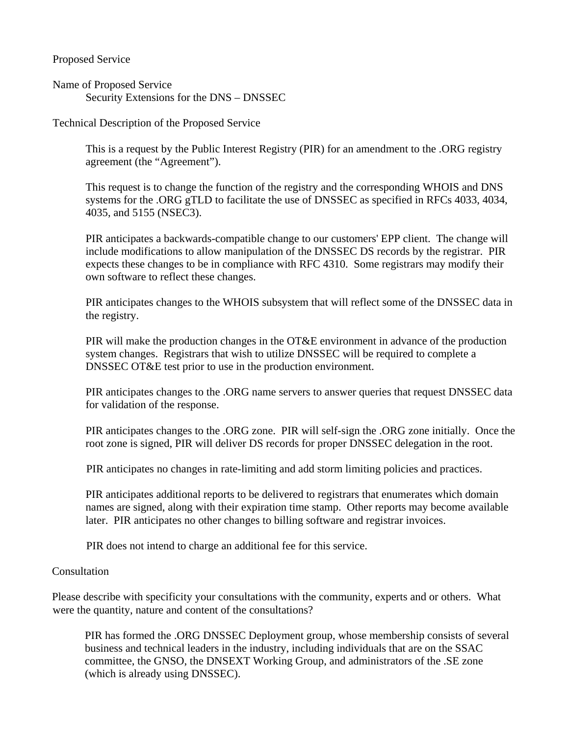Proposed Service

Name of Proposed Service Security Extensions for the DNS – DNSSEC

Technical Description of the Proposed Service

This is a request by the Public Interest Registry (PIR) for an amendment to the .ORG registry agreement (the "Agreement").

This request is to change the function of the registry and the corresponding WHOIS and DNS systems for the .ORG gTLD to facilitate the use of DNSSEC as specified in RFCs 4033, 4034, 4035, and 5155 (NSEC3).

PIR anticipates a backwards-compatible change to our customers' EPP client. The change will include modifications to allow manipulation of the DNSSEC DS records by the registrar. PIR expects these changes to be in compliance with RFC 4310. Some registrars may modify their own software to reflect these changes.

PIR anticipates changes to the WHOIS subsystem that will reflect some of the DNSSEC data in the registry.

PIR will make the production changes in the OT&E environment in advance of the production system changes. Registrars that wish to utilize DNSSEC will be required to complete a DNSSEC OT&E test prior to use in the production environment.

PIR anticipates changes to the .ORG name servers to answer queries that request DNSSEC data for validation of the response.

PIR anticipates changes to the .ORG zone. PIR will self-sign the .ORG zone initially. Once the root zone is signed, PIR will deliver DS records for proper DNSSEC delegation in the root.

PIR anticipates no changes in rate-limiting and add storm limiting policies and practices.

PIR anticipates additional reports to be delivered to registrars that enumerates which domain names are signed, along with their expiration time stamp. Other reports may become available later. PIR anticipates no other changes to billing software and registrar invoices.

PIR does not intend to charge an additional fee for this service.

#### Consultation

Please describe with specificity your consultations with the community, experts and or others. What were the quantity, nature and content of the consultations?

PIR has formed the .ORG DNSSEC Deployment group, whose membership consists of several business and technical leaders in the industry, including individuals that are on the SSAC committee, the GNSO, the DNSEXT Working Group, and administrators of the .SE zone (which is already using DNSSEC).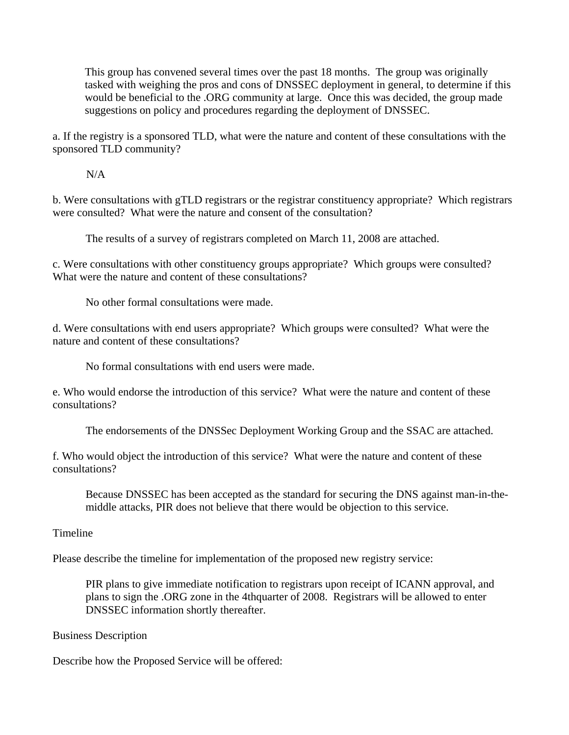This group has convened several times over the past 18 months. The group was originally tasked with weighing the pros and cons of DNSSEC deployment in general, to determine if this would be beneficial to the .ORG community at large. Once this was decided, the group made suggestions on policy and procedures regarding the deployment of DNSSEC.

a. If the registry is a sponsored TLD, what were the nature and content of these consultations with the sponsored TLD community?

N/A

b. Were consultations with gTLD registrars or the registrar constituency appropriate? Which registrars were consulted? What were the nature and consent of the consultation?

The results of a survey of registrars completed on March 11, 2008 are attached.

c. Were consultations with other constituency groups appropriate? Which groups were consulted? What were the nature and content of these consultations?

No other formal consultations were made.

d. Were consultations with end users appropriate? Which groups were consulted? What were the nature and content of these consultations?

No formal consultations with end users were made.

e. Who would endorse the introduction of this service? What were the nature and content of these consultations?

The endorsements of the DNSSec Deployment Working Group and the SSAC are attached.

f. Who would object the introduction of this service? What were the nature and content of these consultations?

Because DNSSEC has been accepted as the standard for securing the DNS against man-in-themiddle attacks, PIR does not believe that there would be objection to this service.

Timeline

Please describe the timeline for implementation of the proposed new registry service:

PIR plans to give immediate notification to registrars upon receipt of ICANN approval, and plans to sign the .ORG zone in the 4thquarter of 2008. Registrars will be allowed to enter DNSSEC information shortly thereafter.

Business Description

Describe how the Proposed Service will be offered: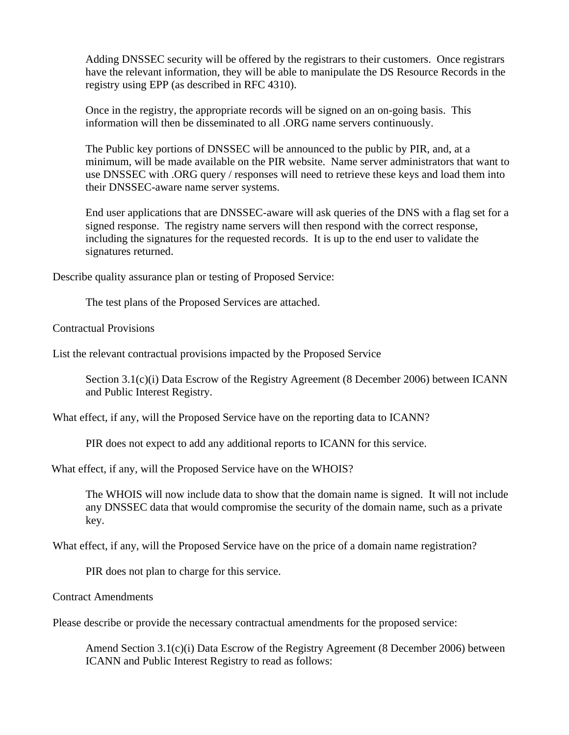Adding DNSSEC security will be offered by the registrars to their customers. Once registrars have the relevant information, they will be able to manipulate the DS Resource Records in the registry using EPP (as described in RFC 4310).

Once in the registry, the appropriate records will be signed on an on-going basis. This information will then be disseminated to all .ORG name servers continuously.

The Public key portions of DNSSEC will be announced to the public by PIR, and, at a minimum, will be made available on the PIR website. Name server administrators that want to use DNSSEC with .ORG query / responses will need to retrieve these keys and load them into their DNSSEC-aware name server systems.

End user applications that are DNSSEC-aware will ask queries of the DNS with a flag set for a signed response. The registry name servers will then respond with the correct response, including the signatures for the requested records. It is up to the end user to validate the signatures returned.

Describe quality assurance plan or testing of Proposed Service:

The test plans of the Proposed Services are attached.

Contractual Provisions

List the relevant contractual provisions impacted by the Proposed Service

Section 3.1(c)(i) Data Escrow of the Registry Agreement (8 December 2006) between ICANN and Public Interest Registry.

What effect, if any, will the Proposed Service have on the reporting data to ICANN?

PIR does not expect to add any additional reports to ICANN for this service.

What effect, if any, will the Proposed Service have on the WHOIS?

The WHOIS will now include data to show that the domain name is signed. It will not include any DNSSEC data that would compromise the security of the domain name, such as a private key.

What effect, if any, will the Proposed Service have on the price of a domain name registration?

PIR does not plan to charge for this service.

Contract Amendments

Please describe or provide the necessary contractual amendments for the proposed service:

Amend Section 3.1(c)(i) Data Escrow of the Registry Agreement (8 December 2006) between ICANN and Public Interest Registry to read as follows: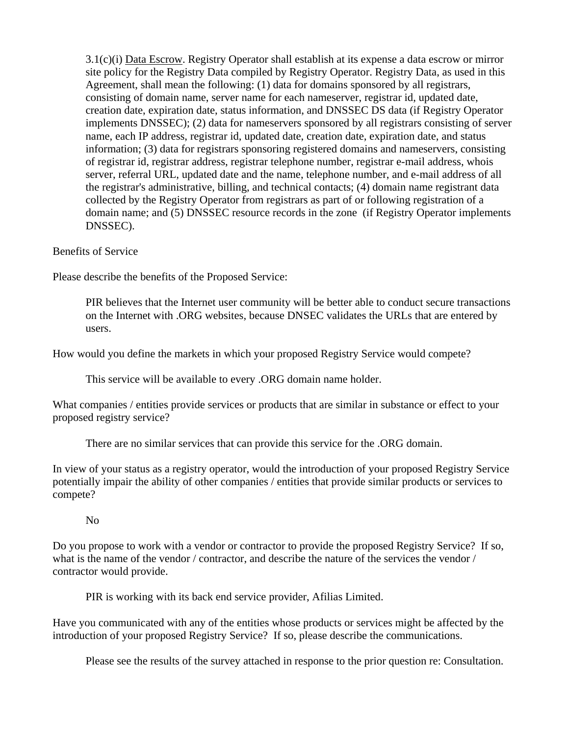3.1(c)(i) Data Escrow. Registry Operator shall establish at its expense a data escrow or mirror site policy for the Registry Data compiled by Registry Operator. Registry Data, as used in this Agreement, shall mean the following: (1) data for domains sponsored by all registrars, consisting of domain name, server name for each nameserver, registrar id, updated date, creation date, expiration date, status information, and DNSSEC DS data (if Registry Operator implements DNSSEC); (2) data for nameservers sponsored by all registrars consisting of server name, each IP address, registrar id, updated date, creation date, expiration date, and status information; (3) data for registrars sponsoring registered domains and nameservers, consisting of registrar id, registrar address, registrar telephone number, registrar e-mail address, whois server, referral URL, updated date and the name, telephone number, and e-mail address of all the registrar's administrative, billing, and technical contacts; (4) domain name registrant data collected by the Registry Operator from registrars as part of or following registration of a domain name; and (5) DNSSEC resource records in the zone (if Registry Operator implements DNSSEC).

Benefits of Service

Please describe the benefits of the Proposed Service:

PIR believes that the Internet user community will be better able to conduct secure transactions on the Internet with .ORG websites, because DNSEC validates the URLs that are entered by users.

How would you define the markets in which your proposed Registry Service would compete?

This service will be available to every .ORG domain name holder.

What companies / entities provide services or products that are similar in substance or effect to your proposed registry service?

There are no similar services that can provide this service for the .ORG domain.

In view of your status as a registry operator, would the introduction of your proposed Registry Service potentially impair the ability of other companies / entities that provide similar products or services to compete?

#### No

Do you propose to work with a vendor or contractor to provide the proposed Registry Service? If so, what is the name of the vendor / contractor, and describe the nature of the services the vendor / contractor would provide.

PIR is working with its back end service provider, Afilias Limited.

Have you communicated with any of the entities whose products or services might be affected by the introduction of your proposed Registry Service? If so, please describe the communications.

Please see the results of the survey attached in response to the prior question re: Consultation.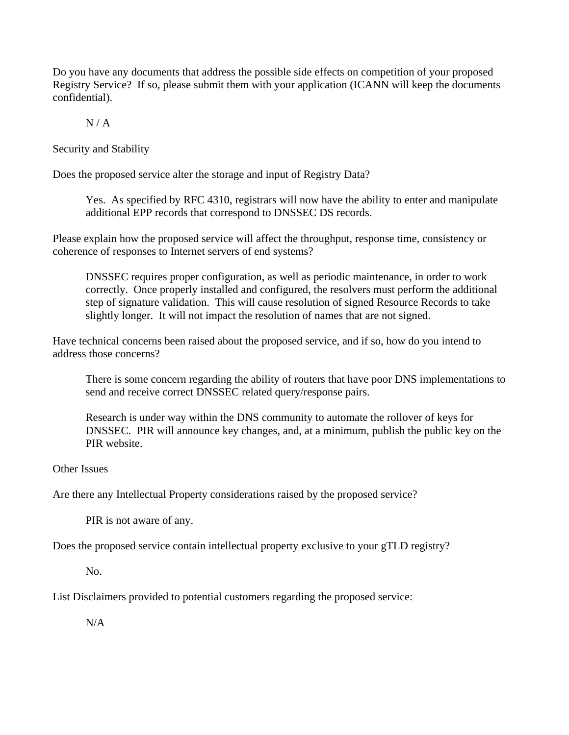Do you have any documents that address the possible side effects on competition of your proposed Registry Service? If so, please submit them with your application (ICANN will keep the documents confidential).

 $N / A$ 

Security and Stability

Does the proposed service alter the storage and input of Registry Data?

Yes. As specified by RFC 4310, registrars will now have the ability to enter and manipulate additional EPP records that correspond to DNSSEC DS records.

Please explain how the proposed service will affect the throughput, response time, consistency or coherence of responses to Internet servers of end systems?

DNSSEC requires proper configuration, as well as periodic maintenance, in order to work correctly. Once properly installed and configured, the resolvers must perform the additional step of signature validation. This will cause resolution of signed Resource Records to take slightly longer. It will not impact the resolution of names that are not signed.

Have technical concerns been raised about the proposed service, and if so, how do you intend to address those concerns?

There is some concern regarding the ability of routers that have poor DNS implementations to send and receive correct DNSSEC related query/response pairs.

Research is under way within the DNS community to automate the rollover of keys for DNSSEC. PIR will announce key changes, and, at a minimum, publish the public key on the PIR website.

Other Issues

Are there any Intellectual Property considerations raised by the proposed service?

PIR is not aware of any.

Does the proposed service contain intellectual property exclusive to your gTLD registry?

No.

List Disclaimers provided to potential customers regarding the proposed service:

 $N/A$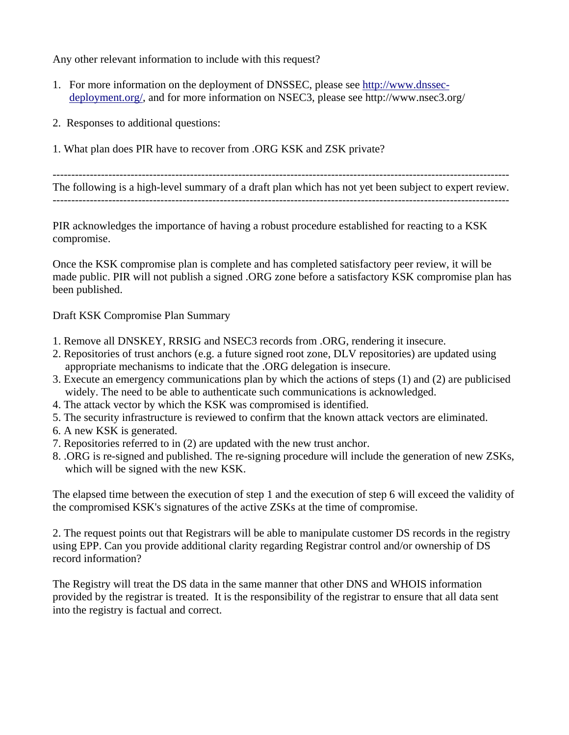Any other relevant information to include with this request?

- 1. For more information on the deployment of DNSSEC, please see http://www.dnssecdeployment.org/, and for more information on NSEC3, please see http://www.nsec3.org/
- 2. Responses to additional questions:
- 1. What plan does PIR have to recover from .ORG KSK and ZSK private?

--------------------------------------------------------------------------------------------------------------------------- The following is a high-level summary of a draft plan which has not yet been subject to expert review.

---------------------------------------------------------------------------------------------------------------------------

PIR acknowledges the importance of having a robust procedure established for reacting to a KSK compromise.

Once the KSK compromise plan is complete and has completed satisfactory peer review, it will be made public. PIR will not publish a signed .ORG zone before a satisfactory KSK compromise plan has been published.

Draft KSK Compromise Plan Summary

- 1. Remove all DNSKEY, RRSIG and NSEC3 records from .ORG, rendering it insecure.
- 2. Repositories of trust anchors (e.g. a future signed root zone, DLV repositories) are updated using appropriate mechanisms to indicate that the .ORG delegation is insecure.
- 3. Execute an emergency communications plan by which the actions of steps (1) and (2) are publicised widely. The need to be able to authenticate such communications is acknowledged.
- 4. The attack vector by which the KSK was compromised is identified.
- 5. The security infrastructure is reviewed to confirm that the known attack vectors are eliminated.
- 6. A new KSK is generated.
- 7. Repositories referred to in (2) are updated with the new trust anchor.
- 8. .ORG is re-signed and published. The re-signing procedure will include the generation of new ZSKs, which will be signed with the new KSK.

The elapsed time between the execution of step 1 and the execution of step 6 will exceed the validity of the compromised KSK's signatures of the active ZSKs at the time of compromise.

2. The request points out that Registrars will be able to manipulate customer DS records in the registry using EPP. Can you provide additional clarity regarding Registrar control and/or ownership of DS record information?

The Registry will treat the DS data in the same manner that other DNS and WHOIS information provided by the registrar is treated. It is the responsibility of the registrar to ensure that all data sent into the registry is factual and correct.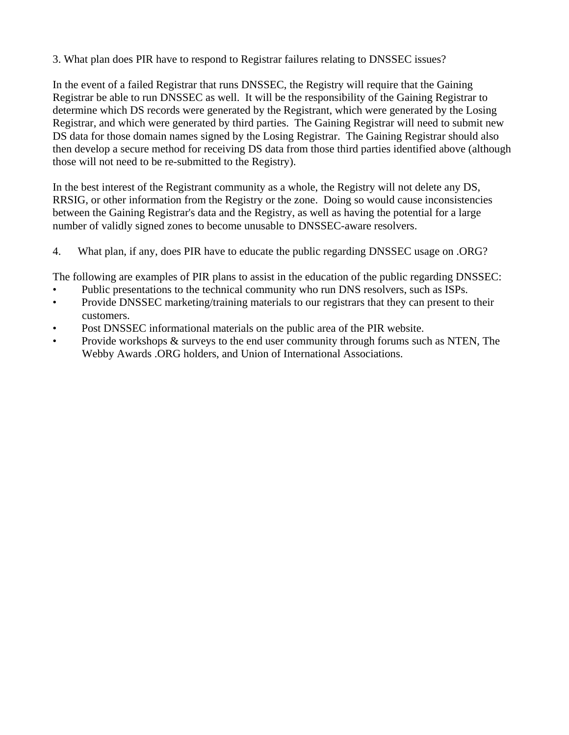3. What plan does PIR have to respond to Registrar failures relating to DNSSEC issues?

In the event of a failed Registrar that runs DNSSEC, the Registry will require that the Gaining Registrar be able to run DNSSEC as well. It will be the responsibility of the Gaining Registrar to determine which DS records were generated by the Registrant, which were generated by the Losing Registrar, and which were generated by third parties. The Gaining Registrar will need to submit new DS data for those domain names signed by the Losing Registrar. The Gaining Registrar should also then develop a secure method for receiving DS data from those third parties identified above (although those will not need to be re-submitted to the Registry).

In the best interest of the Registrant community as a whole, the Registry will not delete any DS, RRSIG, or other information from the Registry or the zone. Doing so would cause inconsistencies between the Gaining Registrar's data and the Registry, as well as having the potential for a large number of validly signed zones to become unusable to DNSSEC-aware resolvers.

4. What plan, if any, does PIR have to educate the public regarding DNSSEC usage on .ORG?

The following are examples of PIR plans to assist in the education of the public regarding DNSSEC:

- Public presentations to the technical community who run DNS resolvers, such as ISPs.
- Provide DNSSEC marketing/training materials to our registrars that they can present to their customers.
- Post DNSSEC informational materials on the public area of the PIR website.
- Provide workshops & surveys to the end user community through forums such as NTEN, The Webby Awards .ORG holders, and Union of International Associations.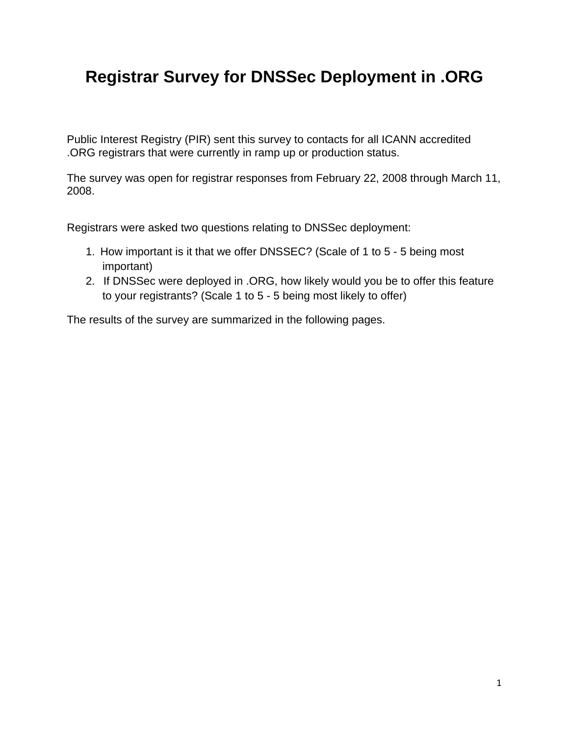# **Registrar Survey for DNSSec Deployment in .ORG**

Public Interest Registry (PIR) sent this survey to contacts for all ICANN accredited .ORG registrars that were currently in ramp up or production status.

The survey was open for registrar responses from February 22, 2008 through March 11, 2008.

Registrars were asked two questions relating to DNSSec deployment:

- 1. How important is it that we offer DNSSEC? (Scale of 1 to 5 5 being most important)
- 2. If DNSSec were deployed in .ORG, how likely would you be to offer this feature to your registrants? (Scale 1 to 5 - 5 being most likely to offer)

The results of the survey are summarized in the following pages.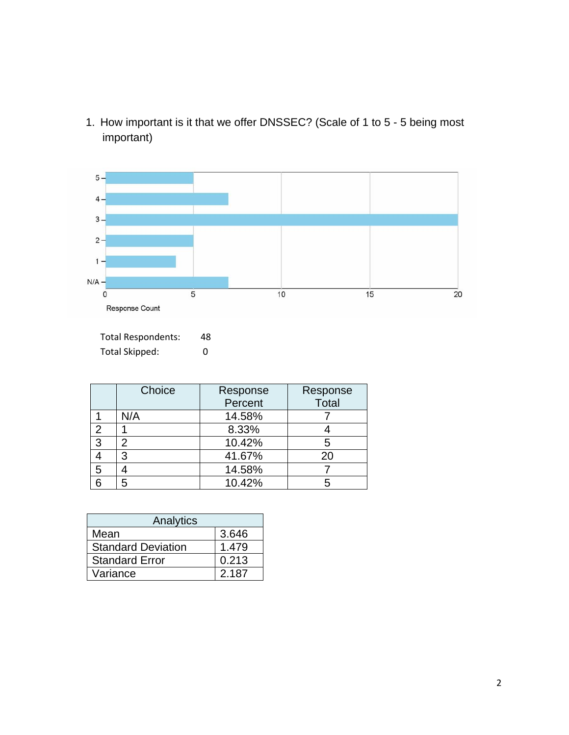1. How important is it that we offer DNSSEC? (Scale of 1 to 5 - 5 being most important)



Total Respondents: 48 Total Skipped: 0

|                | Choice | Response<br>Percent | Response<br><b>Total</b> |
|----------------|--------|---------------------|--------------------------|
|                | N/A    | 14.58%              |                          |
| $\overline{2}$ |        | 8.33%               |                          |
| 3              | 2      | 10.42%              | 5                        |
|                | 3      | 41.67%              | 20                       |
| 5              |        | 14.58%              |                          |
| հ              |        | 10.42%              |                          |

| Analytics                 |       |  |
|---------------------------|-------|--|
| Mean                      | 3.646 |  |
| <b>Standard Deviation</b> | 1.479 |  |
| <b>Standard Error</b>     | 0.213 |  |
| Variance                  | 2.187 |  |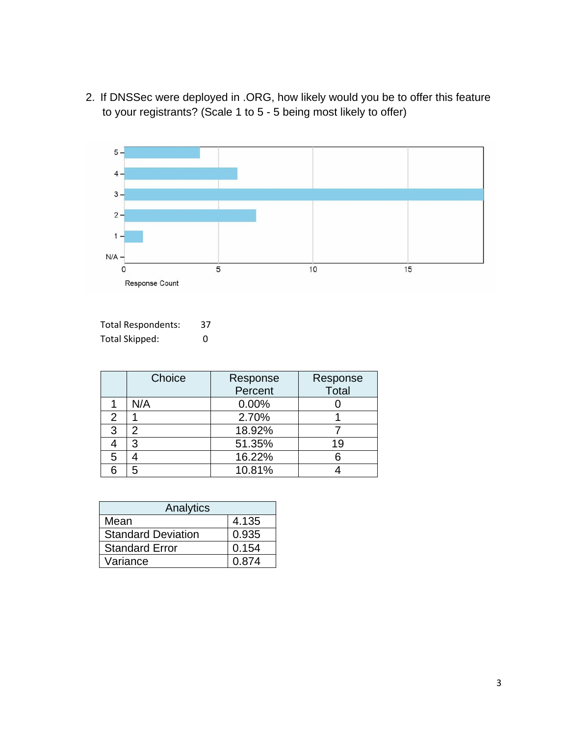2. If DNSSec were deployed in .ORG, how likely would you be to offer this feature to your registrants? (Scale 1 to 5 - 5 being most likely to offer)



| <b>Total Respondents:</b> | 37 |
|---------------------------|----|
| Total Skipped:            | 0  |

|   | Choice | Response | Response |
|---|--------|----------|----------|
|   |        | Percent  | Total    |
|   | N/A    | 0.00%    |          |
| 2 |        | 2.70%    |          |
| 3 | 2      | 18.92%   |          |
|   | 3      | 51.35%   | 19       |
| 5 |        | 16.22%   |          |
| 6 | 5      | 10.81%   |          |

| Analytics                 |       |  |
|---------------------------|-------|--|
| Mean                      | 4.135 |  |
| <b>Standard Deviation</b> | 0.935 |  |
| <b>Standard Error</b>     | 0.154 |  |
| Variance                  | 0.874 |  |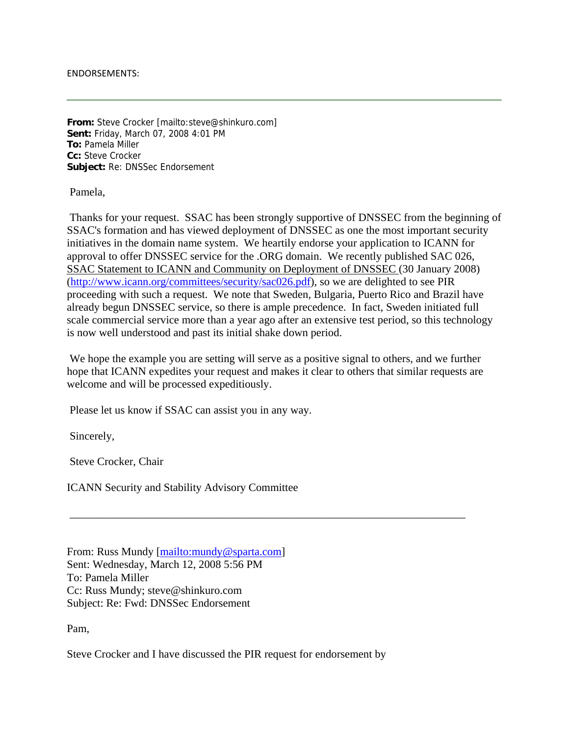#### ENDORSEMENTS:

**From:** Steve Crocker [mailto:steve@shinkuro.com] **Sent:** Friday, March 07, 2008 4:01 PM **To:** Pamela Miller **Cc:** Steve Crocker **Subject:** Re: DNSSec Endorsement

Pamela,

 Thanks for your request. SSAC has been strongly supportive of DNSSEC from the beginning of SSAC's formation and has viewed deployment of DNSSEC as one the most important security initiatives in the domain name system. We heartily endorse your application to ICANN for approval to offer DNSSEC service for the .ORG domain. We recently published SAC 026, SSAC Statement to ICANN and Community on Deployment of DNSSEC (30 January 2008) (http://www.icann.org/committees/security/sac026.pdf), so we are delighted to see PIR proceeding with such a request. We note that Sweden, Bulgaria, Puerto Rico and Brazil have already begun DNSSEC service, so there is ample precedence. In fact, Sweden initiated full scale commercial service more than a year ago after an extensive test period, so this technology is now well understood and past its initial shake down period.

 We hope the example you are setting will serve as a positive signal to others, and we further hope that ICANN expedites your request and makes it clear to others that similar requests are welcome and will be processed expeditiously.

\_\_\_\_\_\_\_\_\_\_\_\_\_\_\_\_\_\_\_\_\_\_\_\_\_\_\_\_\_\_\_\_\_\_\_\_\_\_\_\_\_\_\_\_\_\_\_\_\_\_\_\_\_\_\_\_\_\_\_\_\_\_\_\_\_\_\_\_\_\_\_

Please let us know if SSAC can assist you in any way.

Sincerely,

Steve Crocker, Chair

ICANN Security and Stability Advisory Committee

From: Russ Mundy [mailto:mundy@sparta.com] Sent: Wednesday, March 12, 2008 5:56 PM To: Pamela Miller Cc: Russ Mundy; steve@shinkuro.com Subject: Re: Fwd: DNSSec Endorsement

Pam,

Steve Crocker and I have discussed the PIR request for endorsement by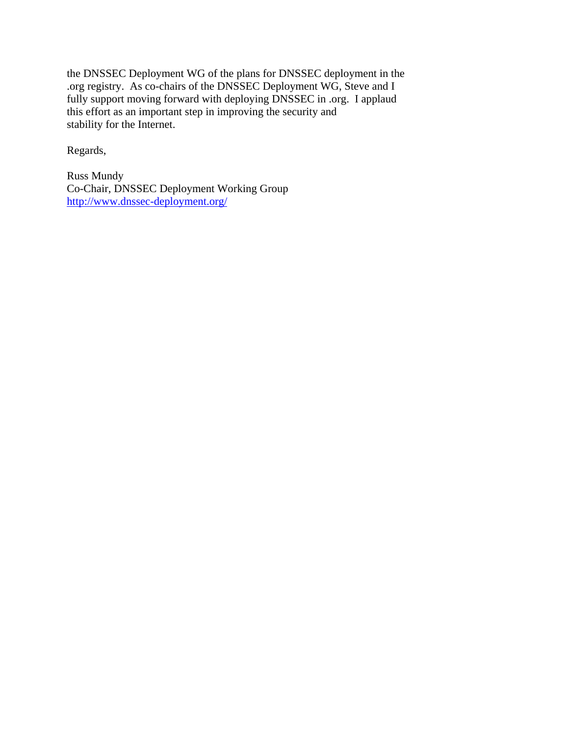the DNSSEC Deployment WG of the plans for DNSSEC deployment in the .org registry. As co-chairs of the DNSSEC Deployment WG, Steve and I fully support moving forward with deploying DNSSEC in .org. I applaud this effort as an important step in improving the security and stability for the Internet.

Regards,

Russ Mundy Co-Chair, DNSSEC Deployment Working Group http://www.dnssec-deployment.org/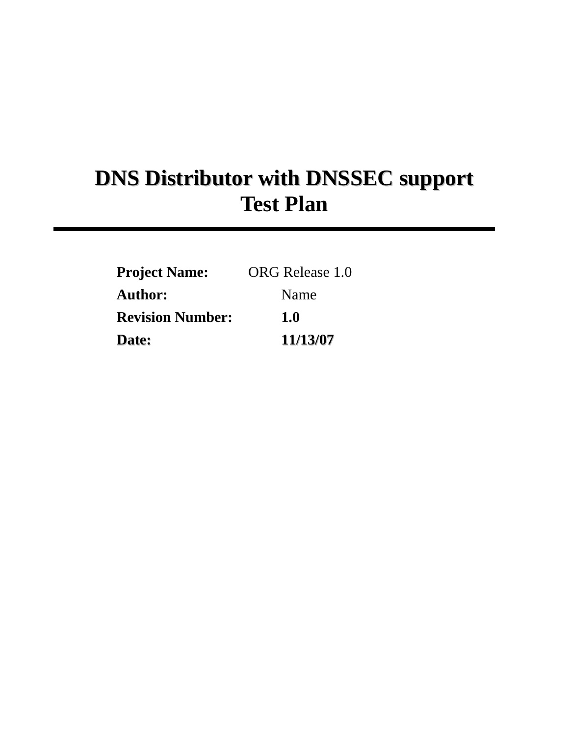# **DNS Distributor with DNSSEC support Test Plan**

| <b>Project Name:</b>    | ORG Release 1.0 |
|-------------------------|-----------------|
| Author:                 | Name            |
| <b>Revision Number:</b> | 1.0             |
| Date:                   | 11/13/07        |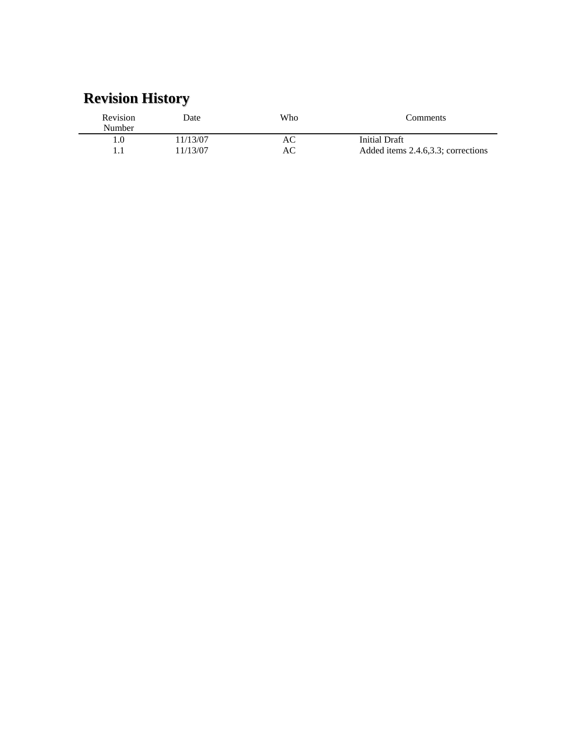# **Revision History**

| Revision<br><b>Number</b> | Date     | Who | Comments                           |
|---------------------------|----------|-----|------------------------------------|
| . .0                      | 11/13/07 | AС  | Initial Draft                      |
|                           | 11/13/07 | AС  | Added items 2.4.6,3.3; corrections |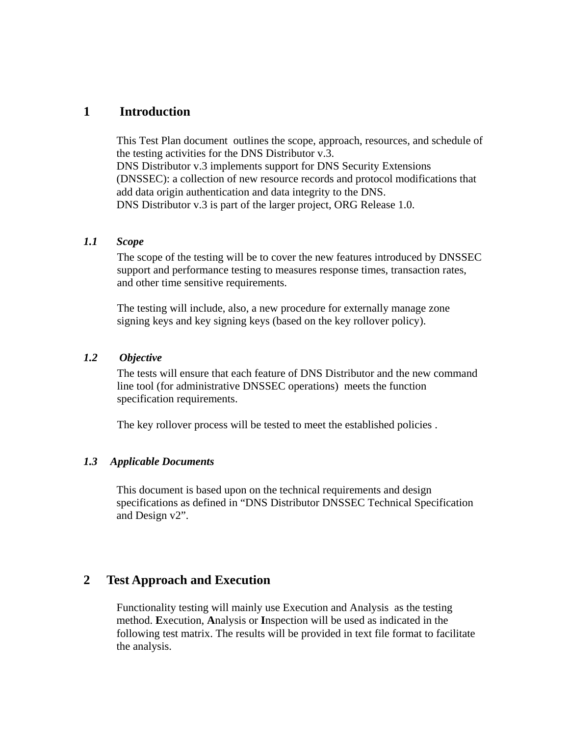# **1 Introduction**

This Test Plan document outlines the scope, approach, resources, and schedule of the testing activities for the DNS Distributor v.3. DNS Distributor v.3 implements support for DNS Security Extensions (DNSSEC): a collection of new resource records and protocol modifications that add data origin authentication and data integrity to the DNS. DNS Distributor v.3 is part of the larger project, ORG Release 1.0.

#### *1.1 Scope*

The scope of the testing will be to cover the new features introduced by DNSSEC support and performance testing to measures response times, transaction rates, and other time sensitive requirements.

The testing will include, also, a new procedure for externally manage zone signing keys and key signing keys (based on the key rollover policy).

# *1.2 Objective*

The tests will ensure that each feature of DNS Distributor and the new command line tool (for administrative DNSSEC operations) meets the function specification requirements.

The key rollover process will be tested to meet the established policies .

#### *1.3 Applicable Documents*

This document is based upon on the technical requirements and design specifications as defined in "DNS Distributor DNSSEC Technical Specification and Design v2".

# **2 Test Approach and Execution**

Functionality testing will mainly use Execution and Analysis as the testing method. **E**xecution, **A**nalysis or **I**nspection will be used as indicated in the following test matrix. The results will be provided in text file format to facilitate the analysis.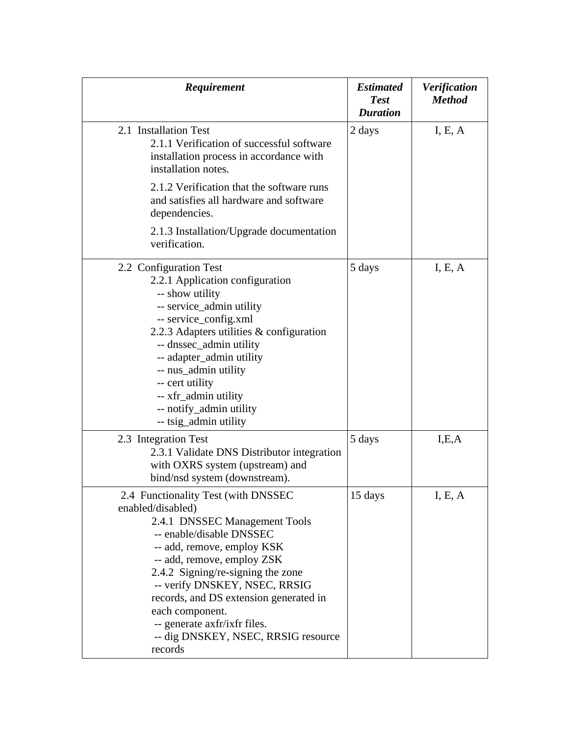| Requirement                                                                                                                                                                                                                                                                                                                                                                                            | <b>Estimated</b><br><b>Test</b><br><b>Duration</b> | <b>Verification</b><br><b>Method</b> |
|--------------------------------------------------------------------------------------------------------------------------------------------------------------------------------------------------------------------------------------------------------------------------------------------------------------------------------------------------------------------------------------------------------|----------------------------------------------------|--------------------------------------|
| 2.1 Installation Test<br>2.1.1 Verification of successful software<br>installation process in accordance with<br>installation notes.<br>2.1.2 Verification that the software runs<br>and satisfies all hardware and software                                                                                                                                                                           | 2 days                                             | I, E, A                              |
| dependencies.<br>2.1.3 Installation/Upgrade documentation<br>verification.                                                                                                                                                                                                                                                                                                                             |                                                    |                                      |
| 2.2 Configuration Test<br>2.2.1 Application configuration<br>-- show utility<br>-- service_admin utility<br>-- service_config.xml<br>2.2.3 Adapters utilities & configuration<br>-- dnssec_admin utility<br>-- adapter_admin utility<br>-- nus_admin utility<br>-- cert utility<br>-- xfr_admin utility<br>-- notify_admin utility<br>-- tsig_admin utility                                            | 5 days                                             | I, E, A                              |
| 2.3 Integration Test<br>2.3.1 Validate DNS Distributor integration<br>with OXRS system (upstream) and<br>bind/nsd system (downstream).                                                                                                                                                                                                                                                                 | 5 days                                             | I,E,A                                |
| 2.4 Functionality Test (with DNSSEC<br>enabled/disabled)<br>2.4.1 DNSSEC Management Tools<br>-- enable/disable DNSSEC<br>-- add, remove, employ KSK<br>-- add, remove, employ ZSK<br>2.4.2 Signing/re-signing the zone<br>-- verify DNSKEY, NSEC, RRSIG<br>records, and DS extension generated in<br>each component.<br>-- generate axfr/ixfr files.<br>-- dig DNSKEY, NSEC, RRSIG resource<br>records | 15 days                                            | I, E, A                              |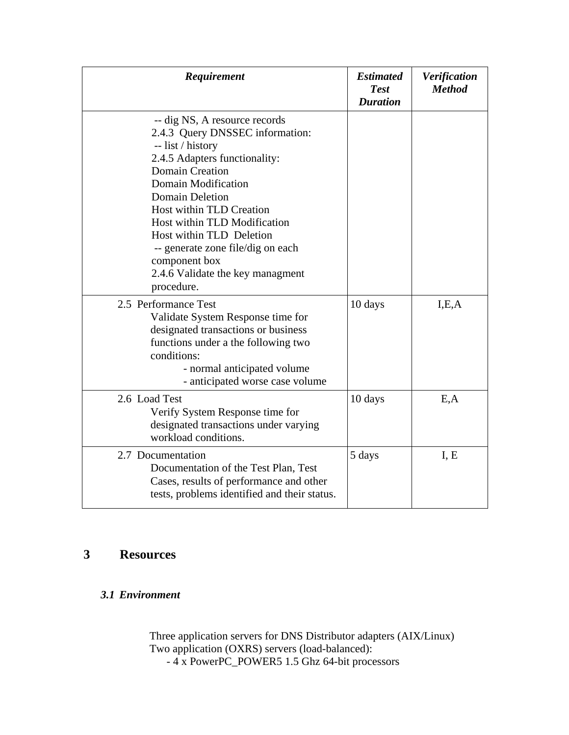| Requirement                                                                                                                                                                                                                                                                                                                                                                                       | <b>Estimated</b><br><b>Test</b><br><b>Duration</b> | Verification<br><b>Method</b> |
|---------------------------------------------------------------------------------------------------------------------------------------------------------------------------------------------------------------------------------------------------------------------------------------------------------------------------------------------------------------------------------------------------|----------------------------------------------------|-------------------------------|
| -- dig NS, A resource records<br>2.4.3 Query DNSSEC information:<br>-- list / history<br>2.4.5 Adapters functionality:<br><b>Domain Creation</b><br>Domain Modification<br><b>Domain Deletion</b><br>Host within TLD Creation<br>Host within TLD Modification<br>Host within TLD Deletion<br>-- generate zone file/dig on each<br>component box<br>2.4.6 Validate the key managment<br>procedure. |                                                    |                               |
| 2.5 Performance Test<br>Validate System Response time for<br>designated transactions or business<br>functions under a the following two<br>conditions:<br>- normal anticipated volume<br>- anticipated worse case volume                                                                                                                                                                          | 10 days                                            | I.E.A                         |
| 2.6 Load Test<br>Verify System Response time for<br>designated transactions under varying<br>workload conditions.                                                                                                                                                                                                                                                                                 | 10 days                                            | E, A                          |
| 2.7 Documentation<br>Documentation of the Test Plan, Test<br>Cases, results of performance and other<br>tests, problems identified and their status.                                                                                                                                                                                                                                              | 5 days                                             | I, E                          |

# **3 Resources**

# *3.1 Environment*

Three application servers for DNS Distributor adapters (AIX/Linux) Two application (OXRS) servers (load-balanced): - 4 x PowerPC\_POWER5 1.5 Ghz 64-bit processors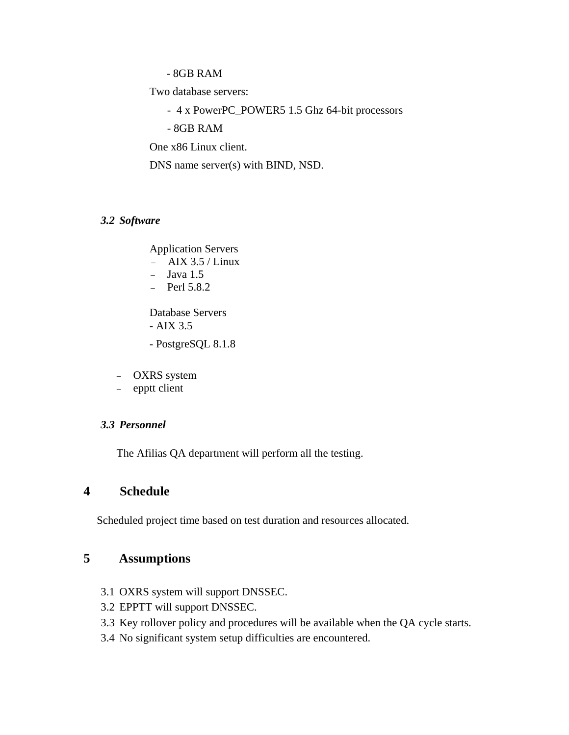- 8GB RAM

Two database servers:

- 4 x PowerPC\_POWER5 1.5 Ghz 64-bit processors

- 8GB RAM

One x86 Linux client.

DNS name server(s) with BIND, NSD.

#### *3.2 Software*

Application Servers

- − AIX 3.5 / Linux
- Java 1.5
- − Perl 5.8.2

 Database Servers - AIX 3.5

- PostgreSQL 8.1.8

- − OXRS system
- − epptt client

#### *3.3 Personnel*

The Afilias QA department will perform all the testing.

# **4 Schedule**

Scheduled project time based on test duration and resources allocated.

# **5 Assumptions**

- 3.1 OXRS system will support DNSSEC.
- 3.2 EPPTT will support DNSSEC.
- 3.3 Key rollover policy and procedures will be available when the QA cycle starts.
- 3.4 No significant system setup difficulties are encountered.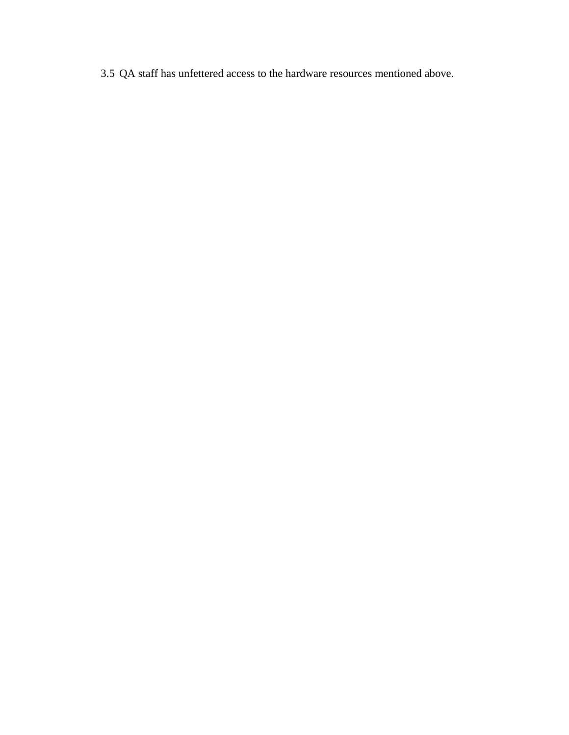3.5 QA staff has unfettered access to the hardware resources mentioned above.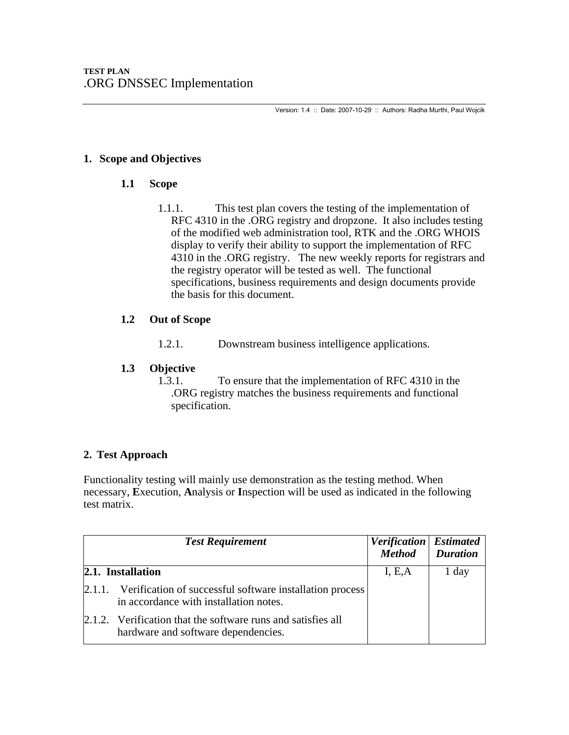Version: 1.4 :: Date: 2007-10-29 :: Authors: Radha Murthi, Paul Wojcik

# **1. Scope and Objectives**

# **1.1 Scope**

1.1.1. This test plan covers the testing of the implementation of RFC 4310 in the .ORG registry and dropzone. It also includes testing of the modified web administration tool, RTK and the .ORG WHOIS display to verify their ability to support the implementation of RFC 4310 in the .ORG registry. The new weekly reports for registrars and the registry operator will be tested as well. The functional specifications, business requirements and design documents provide the basis for this document.

## **1.2 Out of Scope**

1.2.1. Downstream business intelligence applications.

# **1.3 Objective**

1.3.1. To ensure that the implementation of RFC 4310 in the .ORG registry matches the business requirements and functional specification.

# **2. Test Approach**

Functionality testing will mainly use demonstration as the testing method. When necessary, **E**xecution, **A**nalysis or **I**nspection will be used as indicated in the following test matrix.

| <b>Test Requirement</b>                                                                                     | Verification   Estimated<br><b>Method</b> | <b>Duration</b> |
|-------------------------------------------------------------------------------------------------------------|-------------------------------------------|-----------------|
| 2.1. Installation                                                                                           | I, E, A                                   | 1 day           |
| 2.1.1. Verification of successful software installation process<br>in accordance with installation notes.   |                                           |                 |
| $\vert 2.1.2.$ Verification that the software runs and satisfies all<br>hardware and software dependencies. |                                           |                 |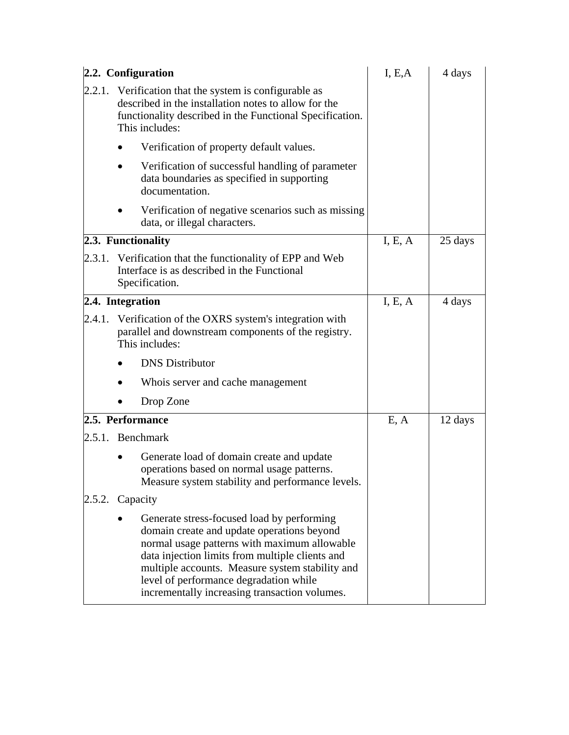| 2.2. Configuration                                                                                                                                                                                                                                                                                                                        | I, E, A | 4 days  |
|-------------------------------------------------------------------------------------------------------------------------------------------------------------------------------------------------------------------------------------------------------------------------------------------------------------------------------------------|---------|---------|
| 2.2.1. Verification that the system is configurable as<br>described in the installation notes to allow for the<br>functionality described in the Functional Specification.<br>This includes:                                                                                                                                              |         |         |
| Verification of property default values.                                                                                                                                                                                                                                                                                                  |         |         |
| Verification of successful handling of parameter<br>data boundaries as specified in supporting<br>documentation.                                                                                                                                                                                                                          |         |         |
| Verification of negative scenarios such as missing<br>data, or illegal characters.                                                                                                                                                                                                                                                        |         |         |
| 2.3. Functionality                                                                                                                                                                                                                                                                                                                        | I, E, A | 25 days |
| 2.3.1. Verification that the functionality of EPP and Web<br>Interface is as described in the Functional<br>Specification.                                                                                                                                                                                                                |         |         |
| 2.4. Integration                                                                                                                                                                                                                                                                                                                          | I, E, A | 4 days  |
| 2.4.1. Verification of the OXRS system's integration with<br>parallel and downstream components of the registry.<br>This includes:                                                                                                                                                                                                        |         |         |
| <b>DNS</b> Distributor                                                                                                                                                                                                                                                                                                                    |         |         |
| Whois server and cache management                                                                                                                                                                                                                                                                                                         |         |         |
| Drop Zone                                                                                                                                                                                                                                                                                                                                 |         |         |
| 2.5. Performance                                                                                                                                                                                                                                                                                                                          | E, A    | 12 days |
| 2.5.1. Benchmark                                                                                                                                                                                                                                                                                                                          |         |         |
| Generate load of domain create and update<br>operations based on normal usage patterns.<br>Measure system stability and performance levels.                                                                                                                                                                                               |         |         |
| 2.5.2. Capacity                                                                                                                                                                                                                                                                                                                           |         |         |
| Generate stress-focused load by performing<br>domain create and update operations beyond<br>normal usage patterns with maximum allowable<br>data injection limits from multiple clients and<br>multiple accounts. Measure system stability and<br>level of performance degradation while<br>incrementally increasing transaction volumes. |         |         |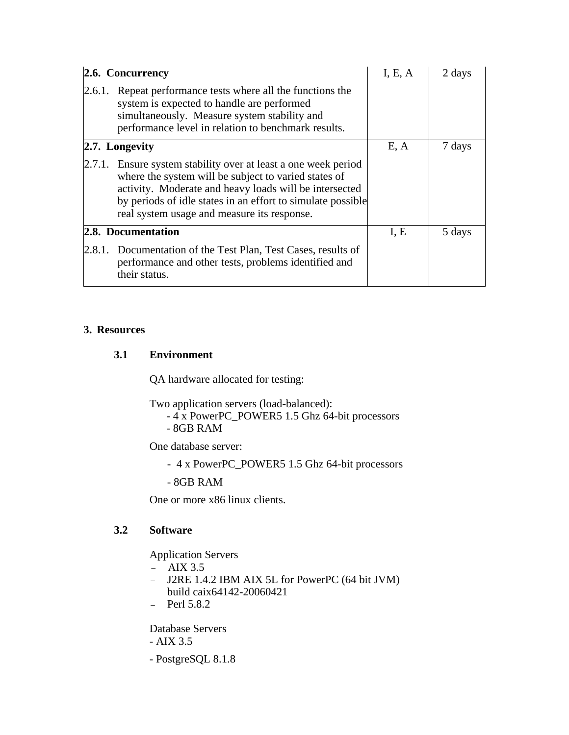| 2.6. Concurrency                                                                                                                                                                                                                                                                               | I, E, A | 2 days |
|------------------------------------------------------------------------------------------------------------------------------------------------------------------------------------------------------------------------------------------------------------------------------------------------|---------|--------|
| 2.6.1. Repeat performance tests where all the functions the<br>system is expected to handle are performed<br>simultaneously. Measure system stability and<br>performance level in relation to benchmark results.                                                                               |         |        |
| 2.7. Longevity                                                                                                                                                                                                                                                                                 | E, A    | 7 days |
| 2.7.1. Ensure system stability over at least a one week period<br>where the system will be subject to varied states of<br>activity. Moderate and heavy loads will be intersected<br>by periods of idle states in an effort to simulate possible<br>real system usage and measure its response. |         |        |
| 2.8. Documentation                                                                                                                                                                                                                                                                             | I, E    | 5 days |
| 2.8.1. Documentation of the Test Plan, Test Cases, results of<br>performance and other tests, problems identified and<br>their status.                                                                                                                                                         |         |        |

## **3. Resources**

# **3.1 Environment**

QA hardware allocated for testing:

Two application servers (load-balanced):

- 4 x PowerPC\_POWER5 1.5 Ghz 64-bit processors
- 8GB RAM

One database server:

- 4 x PowerPC\_POWER5 1.5 Ghz 64-bit processors

- 8GB RAM

One or more x86 linux clients.

# **3.2 Software**

Application Servers

- − AIX 3.5
- − J2RE 1.4.2 IBM AIX 5L for PowerPC (64 bit JVM) build caix64142-20060421
- − Perl 5.8.2

Database Servers

- AIX 3.5
- PostgreSQL 8.1.8